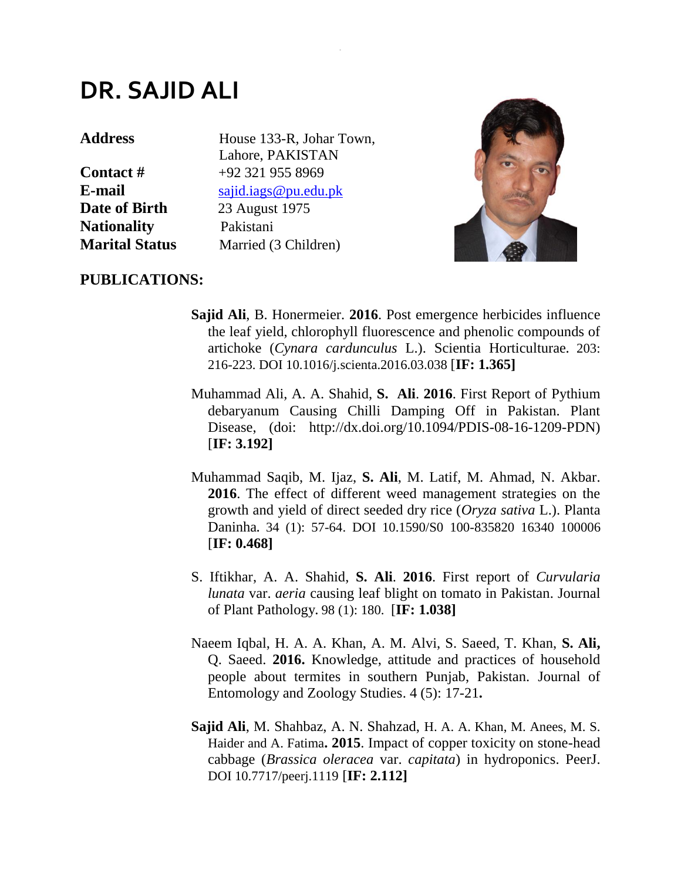## **DR. SAJID ALI**

**Date of Birth** 23 August 1975 **Nationality** Pakistani

Address House 133-R, Johar Town, Lahore, PAKISTAN **Contact #**  $+92,321,955,8969$ **E-mail** [sajid.iags@pu.edu.pk](mailto:sajid.iags@pu.edu.pk) **Marital Status** Married (3 Children)

.



## **PUBLICATIONS:**

- **Sajid Ali**, B. Honermeier. **2016**. Post emergence herbicides influence the leaf yield, chlorophyll fluorescence and phenolic compounds of artichoke (*Cynara cardunculus* L.). Scientia Horticulturae**.** 203: 216-223. DOI 10.1016/j.scienta.2016.03.038 [**IF: 1.365]**
- Muhammad Ali, A. A. Shahid, **S. Ali**. **2016**. First Report of Pythium debaryanum Causing Chilli Damping Off in Pakistan. Plant Disease, (doi: http://dx.doi.org/10.1094/PDIS-08-16-1209-PDN) [**IF: 3.192]**
- Muhammad Saqib, M. Ijaz, **S. Ali**, M. Latif, M. Ahmad, N. Akbar. **2016**. The effect of different weed management strategies on the growth and yield of direct seeded dry rice (*Oryza sativa* L.). Planta Daninha**.** 34 (1): 57-64. DOI 10.1590/S0 100-835820 16340 100006 [**IF: 0.468]**
- S. Iftikhar, A. A. Shahid, **S. Ali**. **2016**. First report of *Curvularia lunata* var. *aeria* causing leaf blight on tomato in Pakistan. Journal of Plant Pathology**.** 98 (1): 180. [**IF: 1.038]**
- Naeem Iqbal, H. A. A. Khan, A. M. Alvi, S. Saeed, T. Khan, **S. Ali,**  Q. Saeed. **2016.** Knowledge, attitude and practices of household people about termites in southern Punjab, Pakistan. Journal of Entomology and Zoology Studies. 4 (5): 17-21**.**
- **Sajid Ali**, M. Shahbaz, A. N. Shahzad, H. A. A. Khan, M. Anees, M. S. Haider and A. Fatima**. 2015**. Impact of copper toxicity on stone-head cabbage (*Brassica oleracea* var. *capitata*) in hydroponics. PeerJ. DOI 10.7717/peerj.1119 [**IF: 2.112]**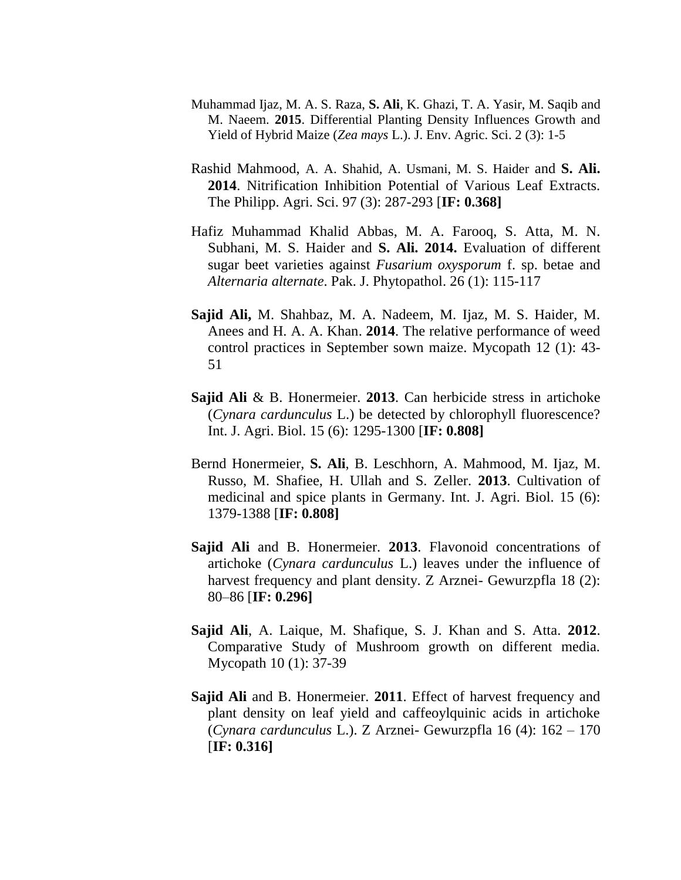- Muhammad Ijaz, M. A. S. Raza, **S. Ali**, K. Ghazi, T. A. Yasir, M. Saqib and M. Naeem. **2015**. Differential Planting Density Influences Growth and Yield of Hybrid Maize (*Zea mays* L.). J. Env. Agric. Sci. 2 (3): 1-5
- Rashid Mahmood, A. A. Shahid, A. Usmani, M. S. Haider and **S. Ali. 2014**. Nitrification Inhibition Potential of Various Leaf Extracts. The Philipp. Agri. Sci. 97 (3): 287-293 [**IF: 0.368]**
- Hafiz Muhammad Khalid Abbas, M. A. Farooq, S. Atta, M. N. Subhani, M. S. Haider and **S. Ali. 2014.** Evaluation of different sugar beet varieties against *Fusarium oxysporum* f. sp. betae and *Alternaria alternate*. Pak. J. Phytopathol. 26 (1): 115-117
- **Sajid Ali,** M. Shahbaz, M. A. Nadeem, M. Ijaz, M. S. Haider, M. Anees and H. A. A. Khan. **2014**. The relative performance of weed control practices in September sown maize. Mycopath 12 (1): 43- 51
- **Sajid Ali** & B. Honermeier. **2013**. Can herbicide stress in artichoke (*Cynara cardunculus* L.) be detected by chlorophyll fluorescence? Int. J. Agri. Biol. 15 (6): 1295-1300 [**IF: 0.808]**
- Bernd Honermeier, **S. Ali**, B. Leschhorn, A. Mahmood, M. Ijaz, M. Russo, M. Shafiee, H. Ullah and S. Zeller. **2013**. Cultivation of medicinal and spice plants in Germany. Int. J. Agri. Biol. 15 (6): 1379-1388 [**IF: 0.808]**
- **Sajid Ali** and B. Honermeier. **2013**. Flavonoid concentrations of artichoke (*Cynara cardunculus* L.) leaves under the influence of harvest frequency and plant density. Z Arznei- Gewurzpfla 18 (2): 80–86 [**IF: 0.296]**
- **Sajid Ali**, A. Laique, M. Shafique, S. J. Khan and S. Atta. **2012**. Comparative Study of Mushroom growth on different media. Mycopath 10 (1): 37-39
- **Sajid Ali** and B. Honermeier. **2011**. Effect of harvest frequency and plant density on leaf yield and caffeoylquinic acids in artichoke (*Cynara cardunculus* L.). Z Arznei- Gewurzpfla 16 (4): 162 – 170 [**IF: 0.316]**